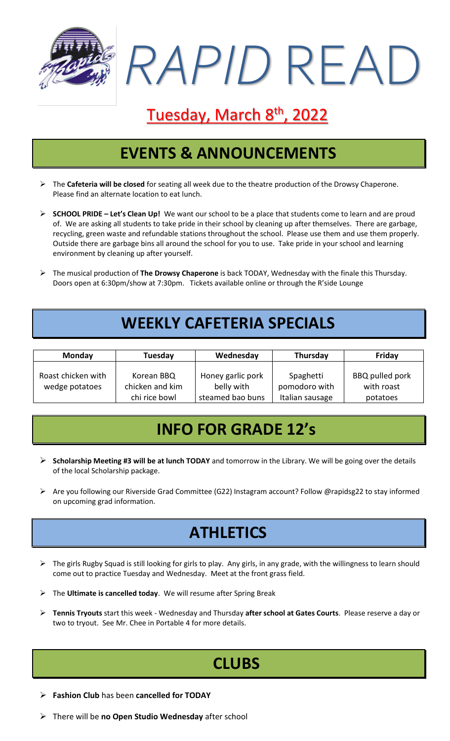

# Tuesday, March 8<sup>th</sup>, 2022

## **EVENTS & ANNOUNCEMENTS**

- ➢ The **Cafeteria will be closed** for seating all week due to the theatre production of the Drowsy Chaperone. Please find an alternate location to eat lunch.
- ➢ **SCHOOL PRIDE – Let's Clean Up!** We want our school to be a place that students come to learn and are proud of. We are asking all students to take pride in their school by cleaning up after themselves. There are garbage, recycling, green waste and refundable stations throughout the school. Please use them and use them properly. Outside there are garbage bins all around the school for you to use. Take pride in your school and learning environment by cleaning up after yourself.
- ➢ The musical production of **The Drowsy Chaperone** is back TODAY, Wednesday with the finale this Thursday. Doors open at 6:30pm/show at 7:30pm. Tickets available online or through the R'side Lounge

## **WEEKLY CAFETERIA SPECIALS**

| <b>Monday</b>                        | Tuesday                                        | Wednesday                                           | Thursday                                      | Friday                                           |
|--------------------------------------|------------------------------------------------|-----------------------------------------------------|-----------------------------------------------|--------------------------------------------------|
| Roast chicken with<br>wedge potatoes | Korean BBQ<br>chicken and kim<br>chi rice bowl | Honey garlic pork<br>belly with<br>steamed bao buns | Spaghetti<br>pomodoro with<br>Italian sausage | <b>BBQ pulled pork</b><br>with roast<br>potatoes |

### **INFO FOR GRADE 12's**

- ➢ **Scholarship Meeting #3 will be at lunch TODAY** and tomorrow in the Library. We will be going over the details of the local Scholarship package.
- ➢ Are you following our Riverside Grad Committee (G22) Instagram account? Follow @rapidsg22 to stay informed on upcoming grad information.

### **ATHLETICS**

- ➢ The girls Rugby Squad is still looking for girls to play. Any girls, in any grade, with the willingness to learn should come out to practice Tuesday and Wednesday. Meet at the front grass field.
- ➢ The **Ultimate is cancelled today**. We will resume after Spring Break
- ➢ **Tennis Tryouts** start this week Wednesday and Thursday **after school at Gates Courts**. Please reserve a day or two to tryout. See Mr. Chee in Portable 4 for more details.

### **CLUBS**

- ➢ **Fashion Club** has been **cancelled for TODAY**
- ➢ There will be **no Open Studio Wednesday** after school